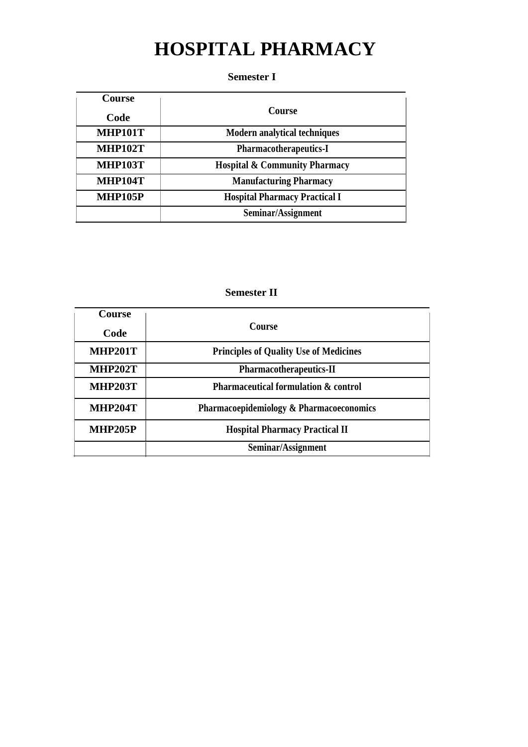# **HOSPITAL PHARMACY**

### **Semester I**

| <b>Course</b>  |                                          |
|----------------|------------------------------------------|
| Code           | <b>Course</b>                            |
| <b>MHP101T</b> | <b>Modern analytical techniques</b>      |
| <b>MHP102T</b> | <b>Pharmacotherapeutics-I</b>            |
| <b>MHP103T</b> | <b>Hospital &amp; Community Pharmacy</b> |
| <b>MHP104T</b> | <b>Manufacturing Pharmacy</b>            |
| <b>MHP105P</b> | <b>Hospital Pharmacy Practical I</b>     |
|                | Seminar/Assignment                       |

### **Semester II**

| <b>Course</b>  |                                                     |
|----------------|-----------------------------------------------------|
| Code           | <b>Course</b>                                       |
| <b>MHP201T</b> | <b>Principles of Quality Use of Medicines</b>       |
| <b>MHP202T</b> | <b>Pharmacotherapeutics-II</b>                      |
| <b>MHP203T</b> | <b>Pharmaceutical formulation &amp; control</b>     |
| <b>MHP204T</b> | <b>Pharmacoepidemiology &amp; Pharmacoeconomics</b> |
| <b>MHP205P</b> | <b>Hospital Pharmacy Practical II</b>               |
|                | Seminar/Assignment                                  |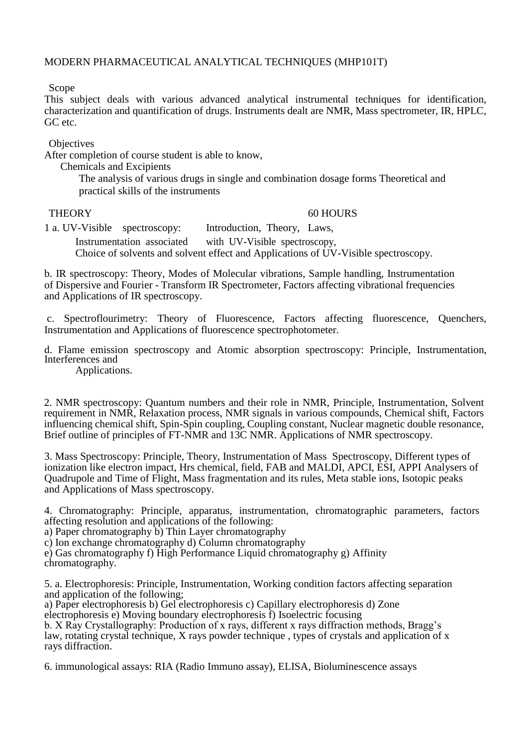### MODERN PHARMACEUTICAL ANALYTICAL TECHNIQUES (MHP101T)

Scope

This subject deals with various advanced analytical instrumental techniques for identification, characterization and quantification of drugs. Instruments dealt are NMR, Mass spectrometer, IR, HPLC, GC etc.

**Objectives** 

After completion of course student is able to know,

Chemicals and Excipients

The analysis of various drugs in single and combination dosage forms Theoretical and practical skills of the instruments

#### THEORY 60 HOURS

1 a. UV-Visible spectroscopy: Introduction, Theory, Laws, Instrumentation associated with UV-Visible spectroscopy,

Choice of solvents and solvent effect and Applications of UV-Visible spectroscopy.

b. IR spectroscopy: Theory, Modes of Molecular vibrations, Sample handling, Instrumentation of Dispersive and Fourier - Transform IR Spectrometer, Factors affecting vibrational frequencies and Applications of IR spectroscopy.

c. Spectroflourimetry: Theory of Fluorescence, Factors affecting fluorescence, Quenchers, Instrumentation and Applications of fluorescence spectrophotometer.

d. Flame emission spectroscopy and Atomic absorption spectroscopy: Principle, Instrumentation, Interferences and

Applications.

2. NMR spectroscopy: Quantum numbers and their role in NMR, Principle, Instrumentation, Solvent requirement in NMR, Relaxation process, NMR signals in various compounds, Chemical shift, Factors influencing chemical shift, Spin-Spin coupling, Coupling constant, Nuclear magnetic double resonance, Brief outline of principles of FT-NMR and 13C NMR. Applications of NMR spectroscopy.

3. Mass Spectroscopy: Principle, Theory, Instrumentation of Mass Spectroscopy, Different types of ionization like electron impact, Hrs chemical, field, FAB and MALDI, APCI, ESI, APPI Analysers of Quadrupole and Time of Flight, Mass fragmentation and its rules, Meta stable ions, Isotopic peaks and Applications of Mass spectroscopy.

4. Chromatography: Principle, apparatus, instrumentation, chromatographic parameters, factors affecting resolution and applications of the following:

a) Paper chromatography b) Thin Layer chromatography

c) Ion exchange chromatography d) Column chromatography

e) Gas chromatography f) High Performance Liquid chromatography g) Affinity chromatography.

5. a. Electrophoresis: Principle, Instrumentation, Working condition factors affecting separation and application of the following;

a) Paper electrophoresis b) Gel electrophoresis c) Capillary electrophoresis d) Zone

electrophoresis e) Moving boundary electrophoresis f) Isoelectric focusing

b. X Ray Crystallography: Production of x rays, different x rays diffraction methods, Bragg's law, rotating crystal technique, X rays powder technique , types of crystals and application of x rays diffraction.

6. immunological assays: RIA (Radio Immuno assay), ELISA, Bioluminescence assays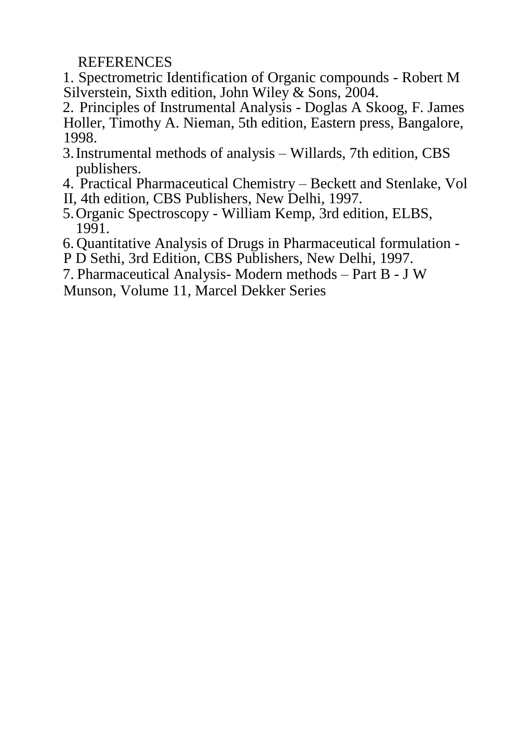**REFERENCES** 

1. Spectrometric Identification of Organic compounds - Robert M Silverstein, Sixth edition, John Wiley & Sons, 2004.

2. Principles of Instrumental Analysis - Doglas A Skoog, F. James Holler, Timothy A. Nieman, 5th edition, Eastern press, Bangalore, 1998.

- 3.Instrumental methods of analysis Willards, 7th edition, CBS publishers.
- 4. Practical Pharmaceutical Chemistry Beckett and Stenlake, Vol
- II, 4th edition, CBS Publishers, New Delhi, 1997.
- 5.Organic Spectroscopy William Kemp, 3rd edition, ELBS, 1991.
- 6. Quantitative Analysis of Drugs in Pharmaceutical formulation -
- P D Sethi, 3rd Edition, CBS Publishers, New Delhi, 1997.
- 7. Pharmaceutical Analysis- Modern methods Part B J W

Munson, Volume 11, Marcel Dekker Series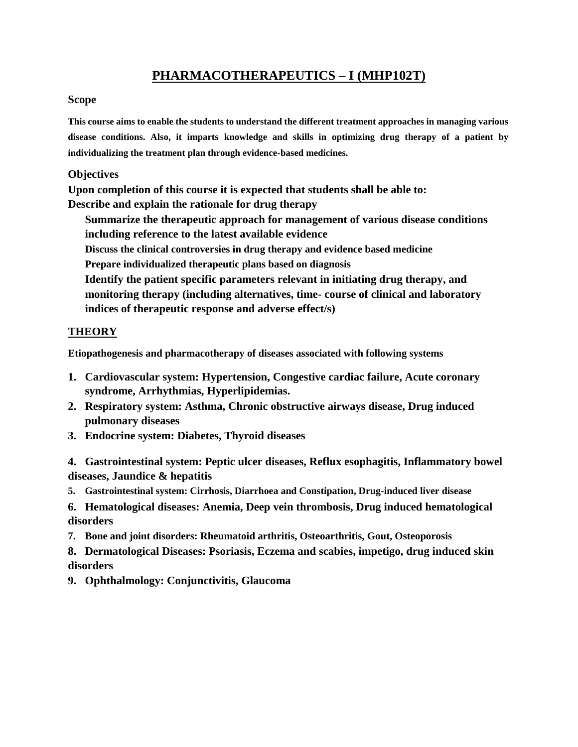### **PHARMACOTHERAPEUTICS – I (MHP102T)**

### **Scope**

**This course aims to enable the students to understand the different treatment approaches in managing various disease conditions. Also, it imparts knowledge and skills in optimizing drug therapy of a patient by individualizing the treatment plan through evidence-based medicines.**

### **Objectives**

**Upon completion of this course it is expected that students shall be able to: Describe and explain the rationale for drug therapy**

**Summarize the therapeutic approach for management of various disease conditions including reference to the latest available evidence**

**Discuss the clinical controversies in drug therapy and evidence based medicine** 

**Prepare individualized therapeutic plans based on diagnosis**

**Identify the patient specific parameters relevant in initiating drug therapy, and monitoring therapy (including alternatives, time- course of clinical and laboratory indices of therapeutic response and adverse effect/s)**

### **THEORY**

**Etiopathogenesis and pharmacotherapy of diseases associated with following systems**

- **1. Cardiovascular system: Hypertension, Congestive cardiac failure, Acute coronary syndrome, Arrhythmias, Hyperlipidemias.**
- **2. Respiratory system: Asthma, Chronic obstructive airways disease, Drug induced pulmonary diseases**
- **3. Endocrine system: Diabetes, Thyroid diseases**

**4. Gastrointestinal system: Peptic ulcer diseases, Reflux esophagitis, Inflammatory bowel diseases, Jaundice & hepatitis**

- **5. Gastrointestinal system: Cirrhosis, Diarrhoea and Constipation, Drug-induced liver disease**
- **6. Hematological diseases: Anemia, Deep vein thrombosis, Drug induced hematological disorders**

**7. Bone and joint disorders: Rheumatoid arthritis, Osteoarthritis, Gout, Osteoporosis**

**8. Dermatological Diseases: Psoriasis, Eczema and scabies, impetigo, drug induced skin disorders**

**9. Ophthalmology: Conjunctivitis, Glaucoma**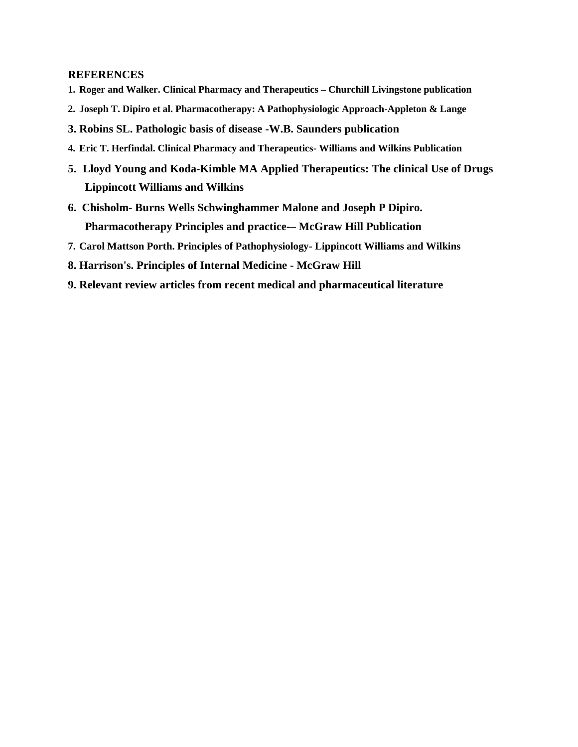- **1. Roger and Walker. Clinical Pharmacy and Therapeutics – Churchill Livingstone publication**
- **2. Joseph T. Dipiro et al. Pharmacotherapy: A Pathophysiologic Approach-Appleton & Lange**
- **3. Robins SL. Pathologic basis of disease -W.B. Saunders publication**
- **4. Eric T. Herfindal. Clinical Pharmacy and Therapeutics- Williams and Wilkins Publication**
- **5. Lloyd Young and Koda-Kimble MA Applied Therapeutics: The clinical Use of Drugs Lippincott Williams and Wilkins**
- **6. Chisholm- Burns Wells Schwinghammer Malone and Joseph P Dipiro. Pharmacotherapy Principles and practice-– McGraw Hill Publication**
- **7. Carol Mattson Porth. Principles of Pathophysiology- Lippincott Williams and Wilkins**
- **8. Harrison's. Principles of Internal Medicine - McGraw Hill**
- **9. Relevant review articles from recent medical and pharmaceutical literature**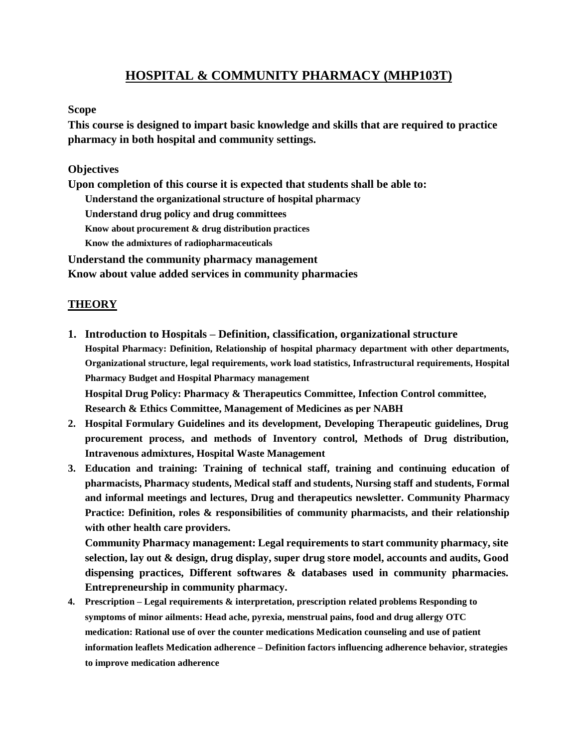### **HOSPITAL & COMMUNITY PHARMACY (MHP103T)**

#### **Scope**

**This course is designed to impart basic knowledge and skills that are required to practice pharmacy in both hospital and community settings.**

### **Objectives**

**Upon completion of this course it is expected that students shall be able to: Understand the organizational structure of hospital pharmacy Understand drug policy and drug committees Know about procurement & drug distribution practices Know the admixtures of radiopharmaceuticals Understand the community pharmacy management Know about value added services in community pharmacies**

### **THEORY**

- **1. Introduction to Hospitals – Definition, classification, organizational structure Hospital Pharmacy: Definition, Relationship of hospital pharmacy department with other departments, Organizational structure, legal requirements, work load statistics, Infrastructural requirements, Hospital Pharmacy Budget and Hospital Pharmacy management Hospital Drug Policy: Pharmacy & Therapeutics Committee, Infection Control committee, Research & Ethics Committee, Management of Medicines as per NABH**
- **2. Hospital Formulary Guidelines and its development, Developing Therapeutic guidelines, Drug procurement process, and methods of Inventory control, Methods of Drug distribution, Intravenous admixtures, Hospital Waste Management**
- **3. Education and training: Training of technical staff, training and continuing education of pharmacists, Pharmacy students, Medical staff and students, Nursing staff and students, Formal and informal meetings and lectures, Drug and therapeutics newsletter. Community Pharmacy Practice: Definition, roles & responsibilities of community pharmacists, and their relationship with other health care providers.**

**Community Pharmacy management: Legal requirements to start community pharmacy, site selection, lay out & design, drug display, super drug store model, accounts and audits, Good dispensing practices, Different softwares & databases used in community pharmacies. Entrepreneurship in community pharmacy.**

**4. Prescription – Legal requirements & interpretation, prescription related problems Responding to symptoms of minor ailments: Head ache, pyrexia, menstrual pains, food and drug allergy OTC medication: Rational use of over the counter medications Medication counseling and use of patient information leaflets Medication adherence – Definition factors influencing adherence behavior, strategies to improve medication adherence**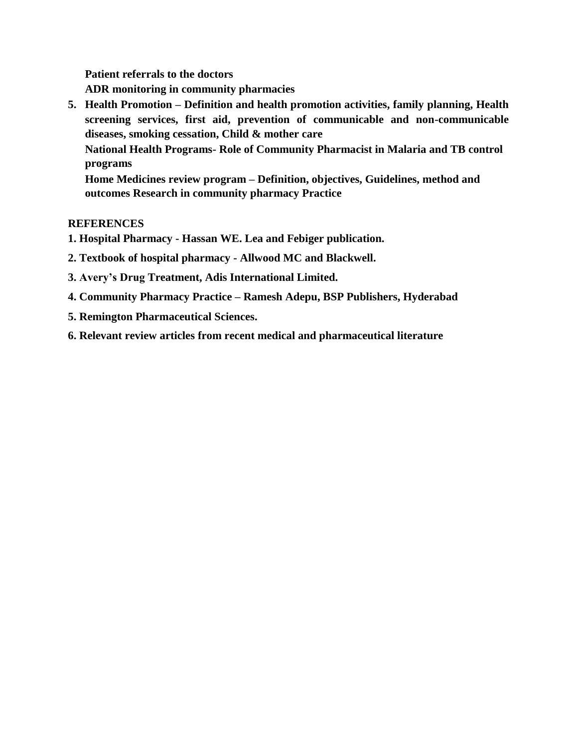**Patient referrals to the doctors**

**ADR monitoring in community pharmacies**

**5. Health Promotion – Definition and health promotion activities, family planning, Health screening services, first aid, prevention of communicable and non-communicable diseases, smoking cessation, Child & mother care National Health Programs- Role of Community Pharmacist in Malaria and TB control programs Home Medicines review program – Definition, objectives, Guidelines, method and outcomes Research in community pharmacy Practice**

- **1. Hospital Pharmacy - Hassan WE. Lea and Febiger publication.**
- **2. Textbook of hospital pharmacy - Allwood MC and Blackwell.**
- **3. Avery's Drug Treatment, Adis International Limited.**
- **4. Community Pharmacy Practice – Ramesh Adepu, BSP Publishers, Hyderabad**
- **5. Remington Pharmaceutical Sciences.**
- **6. Relevant review articles from recent medical and pharmaceutical literature**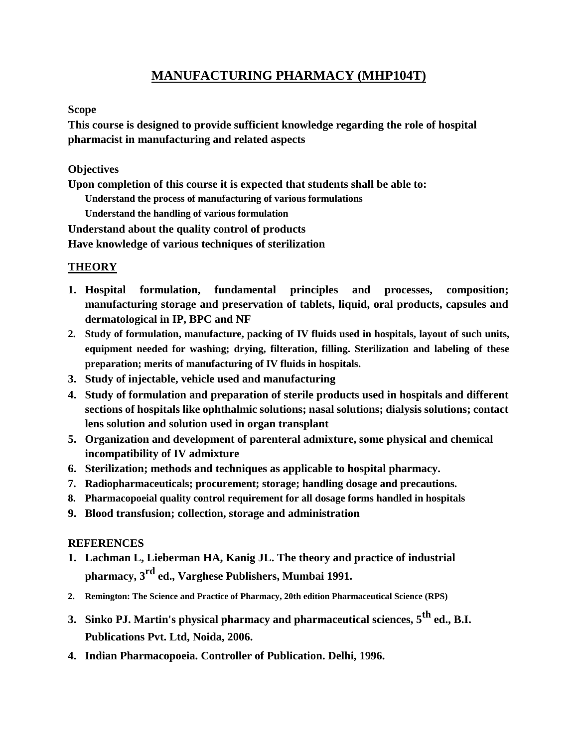### **MANUFACTURING PHARMACY (MHP104T)**

### **Scope**

**This course is designed to provide sufficient knowledge regarding the role of hospital pharmacist in manufacturing and related aspects**

### **Objectives**

**Upon completion of this course it is expected that students shall be able to:**

**Understand the process of manufacturing of various formulations** 

**Understand the handling of various formulation**

**Understand about the quality control of products**

**Have knowledge of various techniques of sterilization**

### **THEORY**

- **1. Hospital formulation, fundamental principles and processes, composition; manufacturing storage and preservation of tablets, liquid, oral products, capsules and dermatological in IP, BPC and NF**
- **2. Study of formulation, manufacture, packing of IV fluids used in hospitals, layout of such units, equipment needed for washing; drying, filteration, filling. Sterilization and labeling of these preparation; merits of manufacturing of IV fluids in hospitals.**
- **3. Study of injectable, vehicle used and manufacturing**
- **4. Study of formulation and preparation of sterile products used in hospitals and different sections of hospitals like ophthalmic solutions; nasal solutions; dialysis solutions; contact lens solution and solution used in organ transplant**
- **5. Organization and development of parenteral admixture, some physical and chemical incompatibility of IV admixture**
- **6. Sterilization; methods and techniques as applicable to hospital pharmacy.**
- **7. Radiopharmaceuticals; procurement; storage; handling dosage and precautions.**
- **8. Pharmacopoeial quality control requirement for all dosage forms handled in hospitals**
- **9. Blood transfusion; collection, storage and administration**

- **1. Lachman L, Lieberman HA, Kanig JL. The theory and practice of industrial pharmacy, 3rd ed., Varghese Publishers, Mumbai 1991.**
- **2. Remington: The Science and Practice of Pharmacy, 20th edition Pharmaceutical Science (RPS)**
- **3. Sinko PJ. Martin's physical pharmacy and pharmaceutical sciences, 5th ed., B.I. Publications Pvt. Ltd, Noida, 2006.**
- **4. Indian Pharmacopoeia. Controller of Publication. Delhi, 1996.**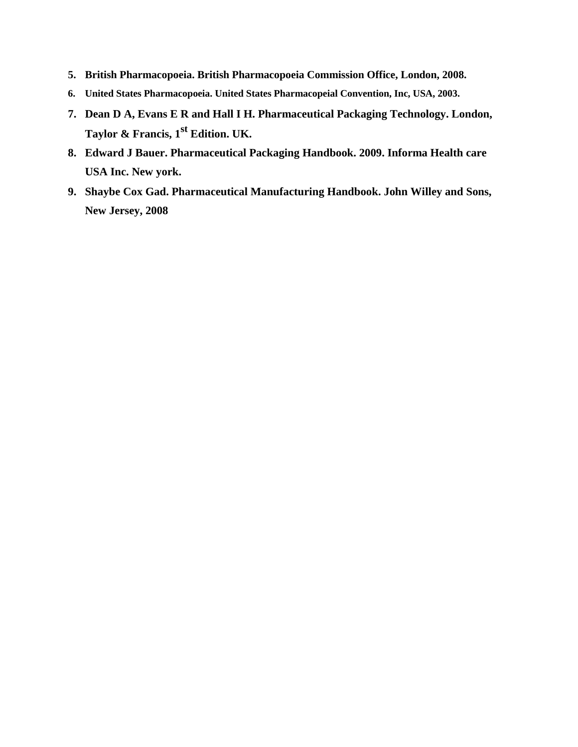- **5. British Pharmacopoeia. British Pharmacopoeia Commission Office, London, 2008.**
- **6. United States Pharmacopoeia. United States Pharmacopeial Convention, Inc, USA, 2003.**
- **7. Dean D A, Evans E R and Hall I H. Pharmaceutical Packaging Technology. London, Taylor & Francis, 1st Edition. UK.**
- **8. Edward J Bauer. Pharmaceutical Packaging Handbook. 2009. Informa Health care USA Inc. New york.**
- **9. Shaybe Cox Gad. Pharmaceutical Manufacturing Handbook. John Willey and Sons, New Jersey, 2008**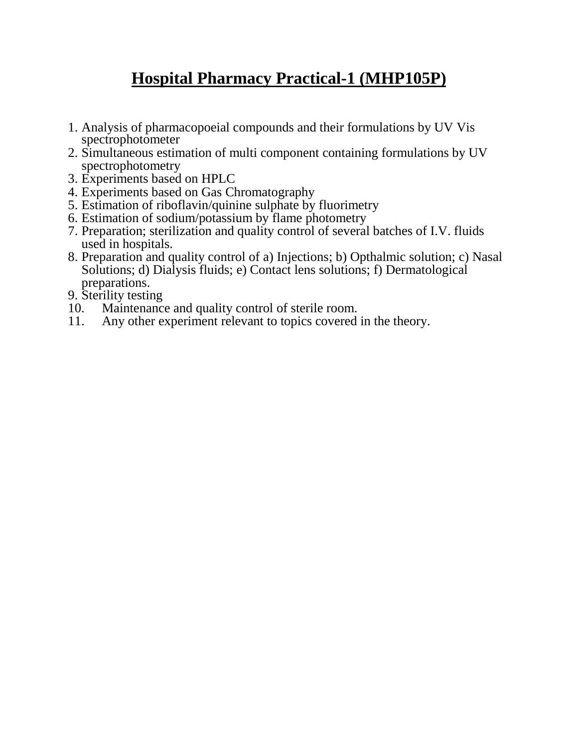## **Hospital Pharmacy Practical-1 (MHP105P)**

- 1. Analysis of pharmacopoeial compounds and their formulations by UV Vis spectrophotometer
- 2. Simultaneous estimation of multi component containing formulations by UV spectrophotometry
- 3. Experiments based on HPLC
- 4. Experiments based on Gas Chromatography
- 5. Estimation of riboflavin/quinine sulphate by fluorimetry
- 6. Estimation of sodium/potassium by flame photometry
- 7. Preparation; sterilization and quality control of several batches of I.V. fluids used in hospitals.
- 8. Preparation and quality control of a) Injections; b) Opthalmic solution; c) Nasal Solutions; d) Dialysis fluids; e) Contact lens solutions; f) Dermatological preparations.
- 9. Sterility testing
- 10. Maintenance and quality control of sterile room.
- 11. Any other experiment relevant to topics covered in the theory.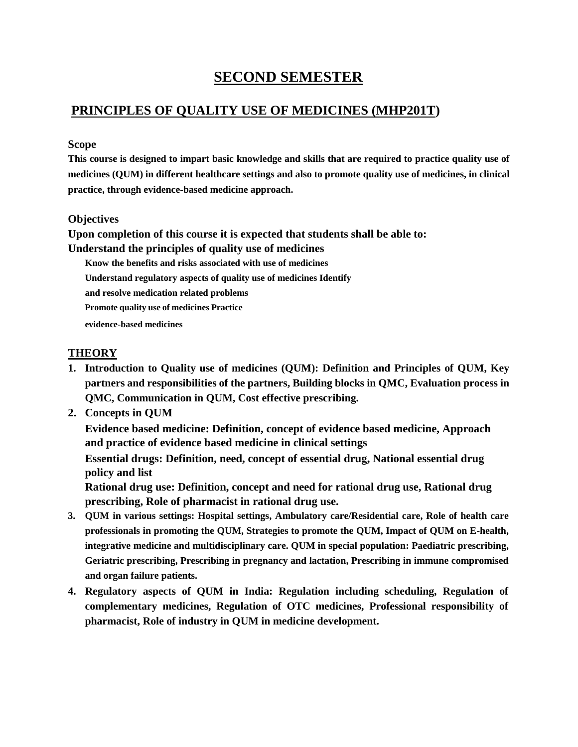### **SECOND SEMESTER**

### **PRINCIPLES OF QUALITY USE OF MEDICINES (MHP201T)**

### **Scope**

**This course is designed to impart basic knowledge and skills that are required to practice quality use of medicines (QUM) in different healthcare settings and also to promote quality use of medicines, in clinical practice, through evidence-based medicine approach.**

### **Objectives**

**Upon completion of this course it is expected that students shall be able to: Understand the principles of quality use of medicines**

**Know the benefits and risks associated with use of medicines Understand regulatory aspects of quality use of medicines Identify and resolve medication related problems Promote quality use of medicines Practice evidence-based medicines**

### **THEORY**

- **1. Introduction to Quality use of medicines (QUM): Definition and Principles of QUM, Key partners and responsibilities of the partners, Building blocks in QMC, Evaluation process in QMC, Communication in QUM, Cost effective prescribing.**
- **2. Concepts in QUM**

**Evidence based medicine: Definition, concept of evidence based medicine, Approach and practice of evidence based medicine in clinical settings**

**Essential drugs: Definition, need, concept of essential drug, National essential drug policy and list**

**Rational drug use: Definition, concept and need for rational drug use, Rational drug prescribing, Role of pharmacist in rational drug use.**

- **3. QUM in various settings: Hospital settings, Ambulatory care/Residential care, Role of health care professionals in promoting the QUM, Strategies to promote the QUM, Impact of QUM on E-health, integrative medicine and multidisciplinary care. QUM in special population: Paediatric prescribing, Geriatric prescribing, Prescribing in pregnancy and lactation, Prescribing in immune compromised and organ failure patients.**
- **4. Regulatory aspects of QUM in India: Regulation including scheduling, Regulation of complementary medicines, Regulation of OTC medicines, Professional responsibility of pharmacist, Role of industry in QUM in medicine development.**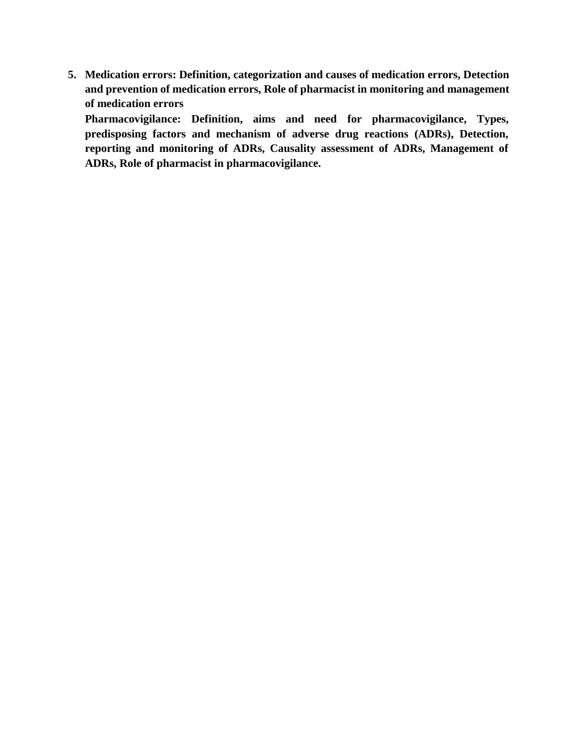**5. Medication errors: Definition, categorization and causes of medication errors, Detection and prevention of medication errors, Role of pharmacist in monitoring and management of medication errors**

**Pharmacovigilance: Definition, aims and need for pharmacovigilance, Types, predisposing factors and mechanism of adverse drug reactions (ADRs), Detection, reporting and monitoring of ADRs, Causality assessment of ADRs, Management of ADRs, Role of pharmacist in pharmacovigilance.**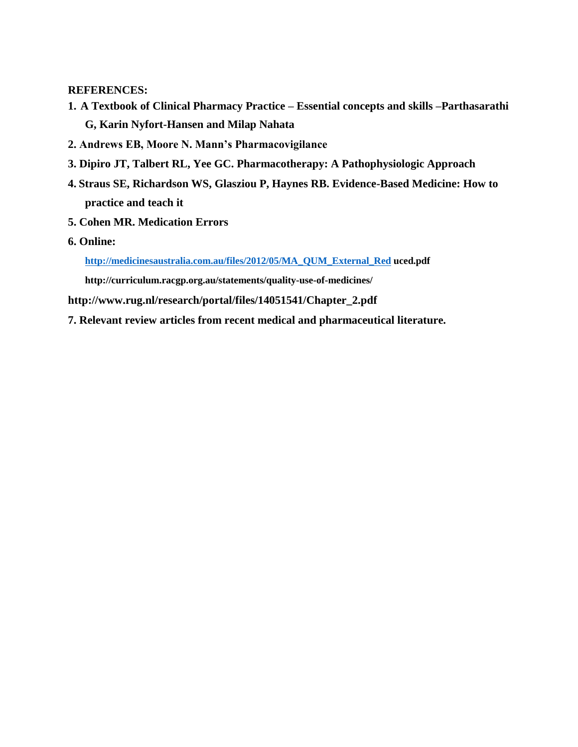### **REFERENCES:**

- **1. A Textbook of Clinical Pharmacy Practice – Essential concepts and skills –Parthasarathi G, Karin Nyfort-Hansen and Milap Nahata**
- **2. Andrews EB, Moore N. Mann's Pharmacovigilance**
- **3. Dipiro JT, Talbert RL, Yee GC. Pharmacotherapy: A Pathophysiologic Approach**
- **4. Straus SE, Richardson WS, Glasziou P, Haynes RB. Evidence-Based Medicine: How to practice and teach it**
- **5. Cohen MR. Medication Errors**
- **6. Online:**

**http://medicinesaustralia.com.au/files/2012/05/MA\_QUM\_External\_Red uced.pdf**

**http://curriculum.racgp.org.au/statements/quality-use-of-medicines/**

**http://www.rug.nl/research/portal/files/14051541/Chapter\_2.pdf**

**7. Relevant review articles from recent medical and pharmaceutical literature.**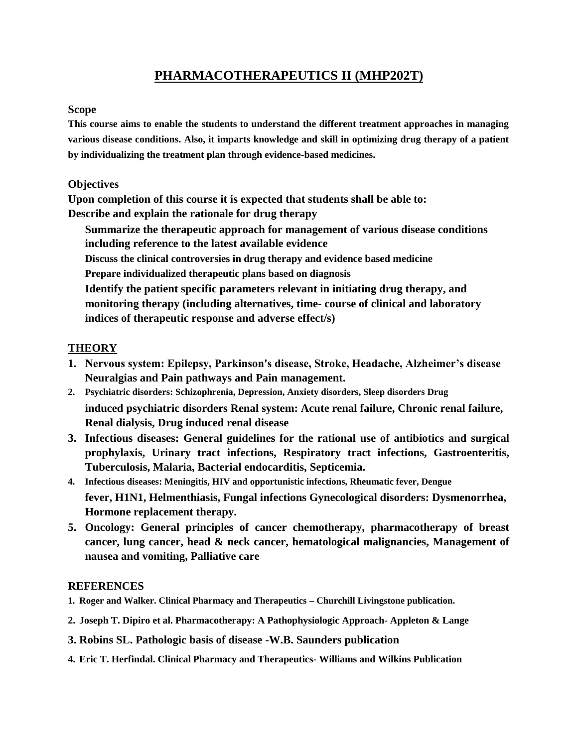### **PHARMACOTHERAPEUTICS II (MHP202T)**

#### **Scope**

**This course aims to enable the students to understand the different treatment approaches in managing various disease conditions. Also, it imparts knowledge and skill in optimizing drug therapy of a patient by individualizing the treatment plan through evidence-based medicines.**

### **Objectives**

**Upon completion of this course it is expected that students shall be able to: Describe and explain the rationale for drug therapy**

**Summarize the therapeutic approach for management of various disease conditions including reference to the latest available evidence Discuss the clinical controversies in drug therapy and evidence based medicine Prepare individualized therapeutic plans based on diagnosis Identify the patient specific parameters relevant in initiating drug therapy, and monitoring therapy (including alternatives, time- course of clinical and laboratory** 

**indices of therapeutic response and adverse effect/s)**

### **THEORY**

- **1. Nervous system: Epilepsy, Parkinson's disease, Stroke, Headache, Alzheimer's disease Neuralgias and Pain pathways and Pain management.**
- **2. Psychiatric disorders: Schizophrenia, Depression, Anxiety disorders, Sleep disorders Drug induced psychiatric disorders Renal system: Acute renal failure, Chronic renal failure, Renal dialysis, Drug induced renal disease**
- **3. Infectious diseases: General guidelines for the rational use of antibiotics and surgical prophylaxis, Urinary tract infections, Respiratory tract infections, Gastroenteritis, Tuberculosis, Malaria, Bacterial endocarditis, Septicemia.**
- **4. Infectious diseases: Meningitis, HIV and opportunistic infections, Rheumatic fever, Dengue fever, H1N1, Helmenthiasis, Fungal infections Gynecological disorders: Dysmenorrhea, Hormone replacement therapy.**
- **5. Oncology: General principles of cancer chemotherapy, pharmacotherapy of breast cancer, lung cancer, head & neck cancer, hematological malignancies, Management of nausea and vomiting, Palliative care**

- **1. Roger and Walker. Clinical Pharmacy and Therapeutics – Churchill Livingstone publication.**
- **2. Joseph T. Dipiro et al. Pharmacotherapy: A Pathophysiologic Approach- Appleton & Lange**
- **3. Robins SL. Pathologic basis of disease -W.B. Saunders publication**
- **4. Eric T. Herfindal. Clinical Pharmacy and Therapeutics- Williams and Wilkins Publication**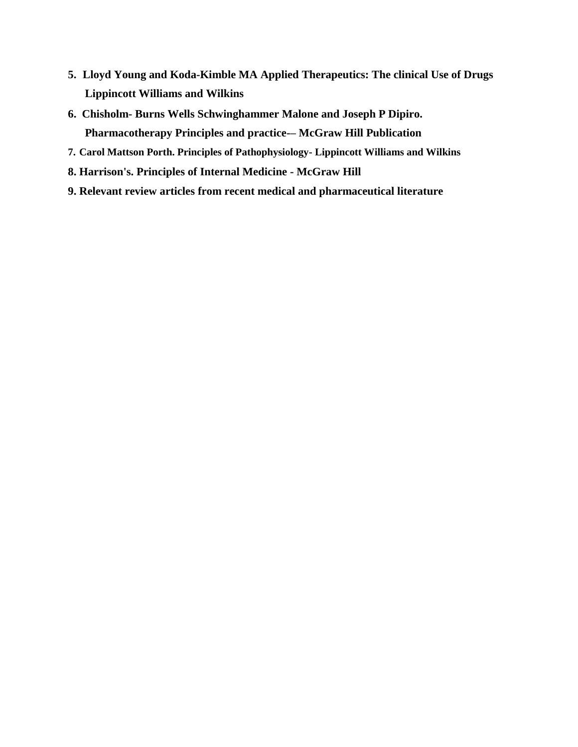- **5. Lloyd Young and Koda-Kimble MA Applied Therapeutics: The clinical Use of Drugs Lippincott Williams and Wilkins**
- **6. Chisholm- Burns Wells Schwinghammer Malone and Joseph P Dipiro. Pharmacotherapy Principles and practice-– McGraw Hill Publication**
- **7. Carol Mattson Porth. Principles of Pathophysiology- Lippincott Williams and Wilkins**
- **8. Harrison's. Principles of Internal Medicine - McGraw Hill**
- **9. Relevant review articles from recent medical and pharmaceutical literature**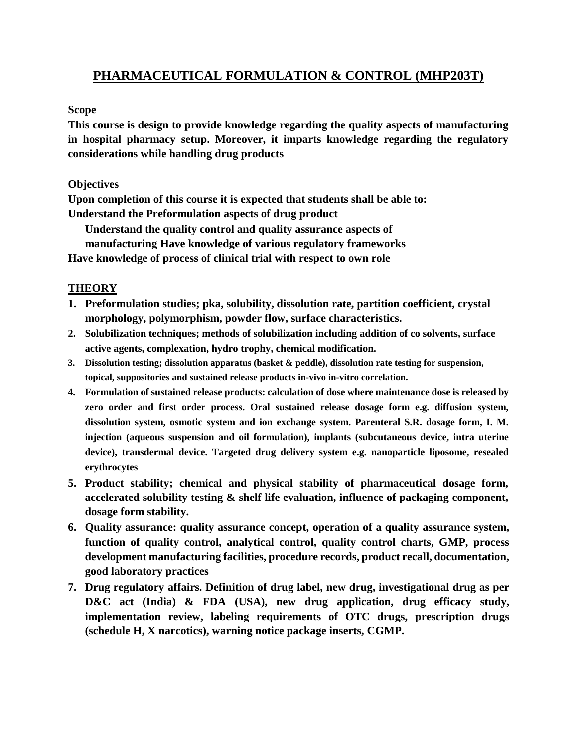### **PHARMACEUTICAL FORMULATION & CONTROL (MHP203T)**

### **Scope**

**This course is design to provide knowledge regarding the quality aspects of manufacturing in hospital pharmacy setup. Moreover, it imparts knowledge regarding the regulatory considerations while handling drug products**

### **Objectives**

**Upon completion of this course it is expected that students shall be able to: Understand the Preformulation aspects of drug product**

**Understand the quality control and quality assurance aspects of manufacturing Have knowledge of various regulatory frameworks Have knowledge of process of clinical trial with respect to own role**

### **THEORY**

- **1. Preformulation studies; pka, solubility, dissolution rate, partition coefficient, crystal morphology, polymorphism, powder flow, surface characteristics.**
- **2. Solubilization techniques; methods of solubilization including addition of co solvents, surface active agents, complexation, hydro trophy, chemical modification.**
- **3. Dissolution testing; dissolution apparatus (basket & peddle), dissolution rate testing for suspension, topical, suppositories and sustained release products in-vivo in-vitro correlation.**
- **4. Formulation of sustained release products: calculation of dose where maintenance dose is released by zero order and first order process. Oral sustained release dosage form e.g. diffusion system, dissolution system, osmotic system and ion exchange system. Parenteral S.R. dosage form, I. M. injection (aqueous suspension and oil formulation), implants (subcutaneous device, intra uterine device), transdermal device. Targeted drug delivery system e.g. nanoparticle liposome, resealed erythrocytes**
- **5. Product stability; chemical and physical stability of pharmaceutical dosage form, accelerated solubility testing & shelf life evaluation, influence of packaging component, dosage form stability.**
- **6. Quality assurance: quality assurance concept, operation of a quality assurance system, function of quality control, analytical control, quality control charts, GMP, process development manufacturing facilities, procedure records, product recall, documentation, good laboratory practices**
- **7. Drug regulatory affairs. Definition of drug label, new drug, investigational drug as per D&C act (India) & FDA (USA), new drug application, drug efficacy study, implementation review, labeling requirements of OTC drugs, prescription drugs (schedule H, X narcotics), warning notice package inserts, CGMP.**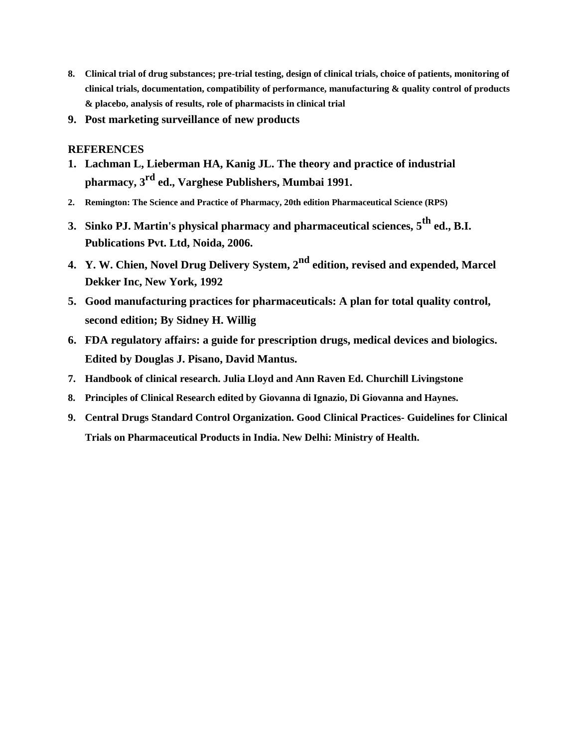- **8. Clinical trial of drug substances; pre-trial testing, design of clinical trials, choice of patients, monitoring of clinical trials, documentation, compatibility of performance, manufacturing & quality control of products & placebo, analysis of results, role of pharmacists in clinical trial**
- **9. Post marketing surveillance of new products**

- **1. Lachman L, Lieberman HA, Kanig JL. The theory and practice of industrial pharmacy, 3rd ed., Varghese Publishers, Mumbai 1991.**
- **2. Remington: The Science and Practice of Pharmacy, 20th edition Pharmaceutical Science (RPS)**
- **3. Sinko PJ. Martin's physical pharmacy and pharmaceutical sciences, 5th ed., B.I. Publications Pvt. Ltd, Noida, 2006.**
- **4. Y. W. Chien, Novel Drug Delivery System, 2nd edition, revised and expended, Marcel Dekker Inc, New York, 1992**
- **5. Good manufacturing practices for pharmaceuticals: A plan for total quality control, second edition; By Sidney H. Willig**
- **6. FDA regulatory affairs: a guide for prescription drugs, medical devices and biologics. Edited by Douglas J. Pisano, David Mantus.**
- **7. Handbook of clinical research. Julia Lloyd and Ann Raven Ed. Churchill Livingstone**
- **8. Principles of Clinical Research edited by Giovanna di Ignazio, Di Giovanna and Haynes.**
- **9. Central Drugs Standard Control Organization. Good Clinical Practices- Guidelines for Clinical Trials on Pharmaceutical Products in India. New Delhi: Ministry of Health.**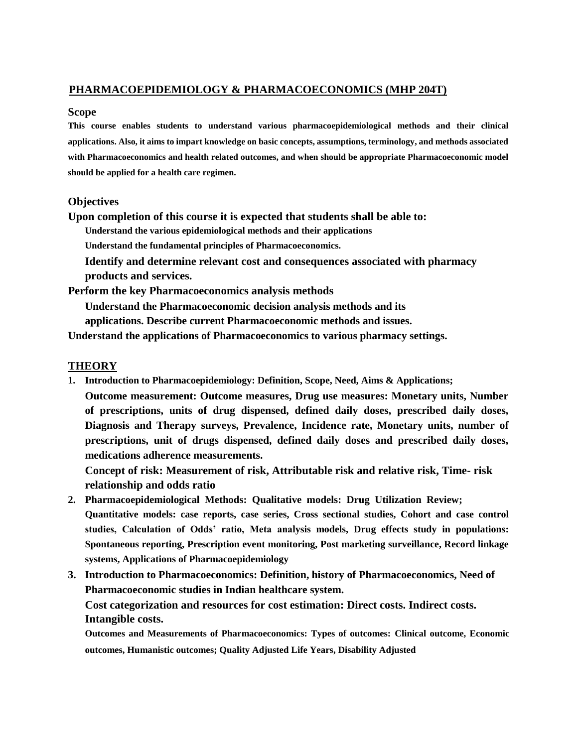### **PHARMACOEPIDEMIOLOGY & PHARMACOECONOMICS (MHP 204T)**

#### **Scope**

**This course enables students to understand various pharmacoepidemiological methods and their clinical applications. Also, it aims to impart knowledge on basic concepts, assumptions, terminology, and methods associated with Pharmacoeconomics and health related outcomes, and when should be appropriate Pharmacoeconomic model should be applied for a health care regimen.**

#### **Objectives**

**Upon completion of this course it is expected that students shall be able to:**

**Understand the various epidemiological methods and their applications** 

**Understand the fundamental principles of Pharmacoeconomics.**

**Identify and determine relevant cost and consequences associated with pharmacy products and services.**

**Perform the key Pharmacoeconomics analysis methods**

**Understand the Pharmacoeconomic decision analysis methods and its** 

**applications. Describe current Pharmacoeconomic methods and issues.**

**Understand the applications of Pharmacoeconomics to various pharmacy settings.**

### **THEORY**

**1. Introduction to Pharmacoepidemiology: Definition, Scope, Need, Aims & Applications;**

**Outcome measurement: Outcome measures, Drug use measures: Monetary units, Number of prescriptions, units of drug dispensed, defined daily doses, prescribed daily doses, Diagnosis and Therapy surveys, Prevalence, Incidence rate, Monetary units, number of prescriptions, unit of drugs dispensed, defined daily doses and prescribed daily doses, medications adherence measurements.**

**Concept of risk: Measurement of risk, Attributable risk and relative risk, Time- risk relationship and odds ratio**

- **2. Pharmacoepidemiological Methods: Qualitative models: Drug Utilization Review; Quantitative models: case reports, case series, Cross sectional studies, Cohort and case control studies, Calculation of Odds' ratio, Meta analysis models, Drug effects study in populations: Spontaneous reporting, Prescription event monitoring, Post marketing surveillance, Record linkage systems, Applications of Pharmacoepidemiology**
- **3. Introduction to Pharmacoeconomics: Definition, history of Pharmacoeconomics, Need of Pharmacoeconomic studies in Indian healthcare system. Cost categorization and resources for cost estimation: Direct costs. Indirect costs. Intangible costs. Outcomes and Measurements of Pharmacoeconomics: Types of outcomes: Clinical outcome, Economic**

**outcomes, Humanistic outcomes; Quality Adjusted Life Years, Disability Adjusted**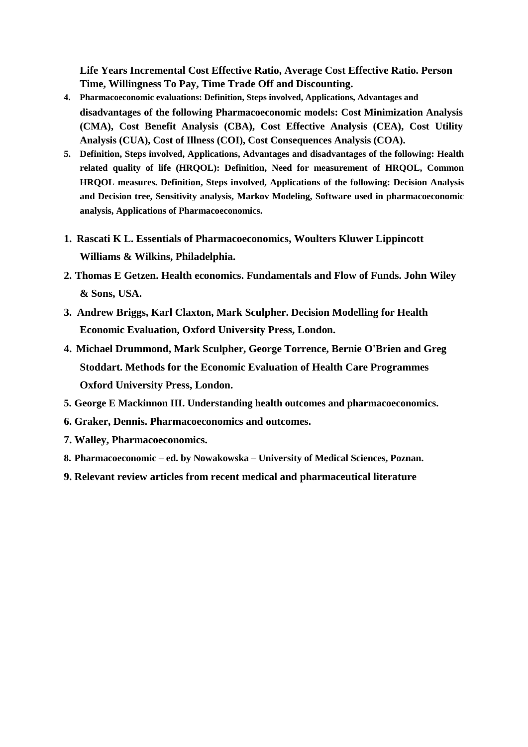**Life Years Incremental Cost Effective Ratio, Average Cost Effective Ratio. Person Time, Willingness To Pay, Time Trade Off and Discounting.**

- **4. Pharmacoeconomic evaluations: Definition, Steps involved, Applications, Advantages and disadvantages of the following Pharmacoeconomic models: Cost Minimization Analysis (CMA), Cost Benefit Analysis (CBA), Cost Effective Analysis (CEA), Cost Utility Analysis (CUA), Cost of Illness (COI), Cost Consequences Analysis (COA).**
- **5. Definition, Steps involved, Applications, Advantages and disadvantages of the following: Health related quality of life (HRQOL): Definition, Need for measurement of HRQOL, Common HRQOL measures. Definition, Steps involved, Applications of the following: Decision Analysis and Decision tree, Sensitivity analysis, Markov Modeling, Software used in pharmacoeconomic analysis, Applications of Pharmacoeconomics.**
- **1. Rascati K L. Essentials of Pharmacoeconomics, Woulters Kluwer Lippincott Williams & Wilkins, Philadelphia.**
- **2. Thomas E Getzen. Health economics. Fundamentals and Flow of Funds. John Wiley & Sons, USA.**
- **3. Andrew Briggs, Karl Claxton, Mark Sculpher. Decision Modelling for Health Economic Evaluation, Oxford University Press, London.**
- **4. Michael Drummond, Mark Sculpher, George Torrence, Bernie O'Brien and Greg Stoddart. Methods for the Economic Evaluation of Health Care Programmes Oxford University Press, London.**
- **5. George E Mackinnon III. Understanding health outcomes and pharmacoeconomics.**
- **6. Graker, Dennis. Pharmacoeconomics and outcomes.**
- **7. Walley, Pharmacoeconomics.**
- **8. Pharmacoeconomic – ed. by Nowakowska – University of Medical Sciences, Poznan.**
- **9. Relevant review articles from recent medical and pharmaceutical literature**